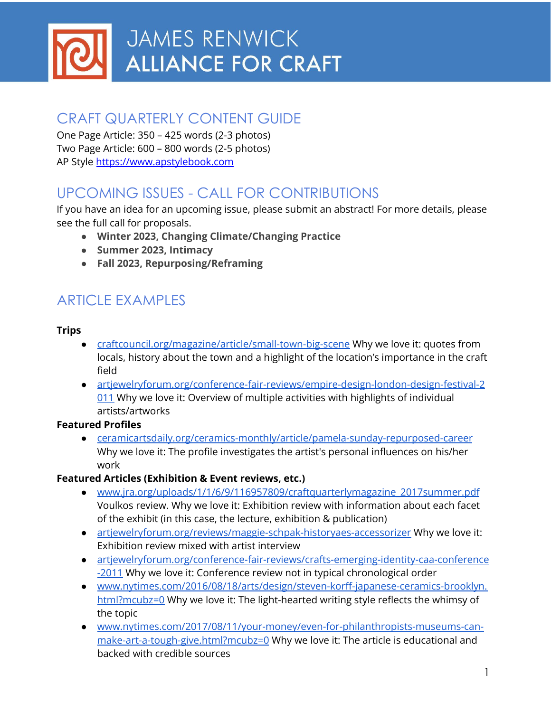

## CRAFT QUARTERLY CONTENT GUIDE

One Page Article: 350 – 425 words (2-3 photos) Two Page Article: 600 – 800 words (2-5 photos) AP Style <https://www.apstylebook.com>

# UPCOMING ISSUES - CALL FOR CONTRIBUTIONS

If you have an idea for an upcoming issue, please submit an abstract! For more details, please see the full call for proposals.

- **● Winter 2023, Changing Climate/Changing Practice**
- **● Summer 2023, Intimacy**
- **● Fall 2023, Repurposing/Reframing**

## ARTICLE EXAMPLES

#### **Trips**

- [craftcouncil.org/magazine/article/small-town-big-scene](https://craftcouncil.org/magazine/article/small-town-big-scene) Why we love it: quotes from locals, history about the town and a highlight of the location's importance in the craft field
- [artjewelryforum.org/conference-fair-reviews/empire-design-london-design-festival-2](https://artjewelryforum.org/conference-fair-reviews/empire-design-london-design-festival-2011) [011](https://artjewelryforum.org/conference-fair-reviews/empire-design-london-design-festival-2011) Why we love it: Overview of multiple activities with highlights of individual artists/artworks

#### **Featured Profiles**

● [ceramicartsdaily.org/ceramics-monthly/article/pamela-sunday-repurposed-career](http://ceramicartsdaily.org/ceramics-monthly/article/pamela-sunday-repurposed-career/) Why we love it: The profile investigates the artist's personal influences on his/her work

#### **Featured Articles (Exhibition & Event reviews, etc.)**

- [www.jra.org/uploads/1/1/6/9/116957809/craftquarterlymagazine\\_2017summer.pdf](https://www.jra.org/uploads/1/1/6/9/116957809/craftquarterlymagazine_2017summer.pdf) Voulkos review. Why we love it: Exhibition review with information about each facet of the exhibit (in this case, the lecture, exhibition & publication)
- [artjewelryforum.org/reviews/maggie-schpak-historyaes-accessorizer](https://artjewelryforum.org/reviews/maggie-schpak-historyaes-accessorizer/) Why we love it: Exhibition review mixed with artist interview
- [artjewelryforum.org/conference-fair-reviews/crafts-emerging-identity-caa-conference](https://artjewelryforum.org/conference-fair-reviews/crafts-emerging-identity-caa-conference-2011) [-2011](https://artjewelryforum.org/conference-fair-reviews/crafts-emerging-identity-caa-conference-2011) Why we love it: Conference review not in typical chronological order
- [www.nytimes.com/2016/08/18/arts/design/steven-korff-japanese-ceramics-brooklyn.](https://www.nytimes.com/2016/08/18/arts/design/steven-korff-japanese-ceramics-brooklyn.html?mcubz=0) [html?mcubz=0](https://www.nytimes.com/2016/08/18/arts/design/steven-korff-japanese-ceramics-brooklyn.html?mcubz=0) Why we love it: The light-hearted writing style reflects the whimsy of the topic
- [www.nytimes.com/2017/08/11/your-money/even-for-philanthropists-museums-can](https://www.nytimes.com/2017/08/11/your-money/even-for-philanthropists-museums-can-make-art-a-tough-give.html?mcubz=0)[make-art-a-tough-give.html?mcubz=0](https://www.nytimes.com/2017/08/11/your-money/even-for-philanthropists-museums-can-make-art-a-tough-give.html?mcubz=0) Why we love it: The article is educational and backed with credible sources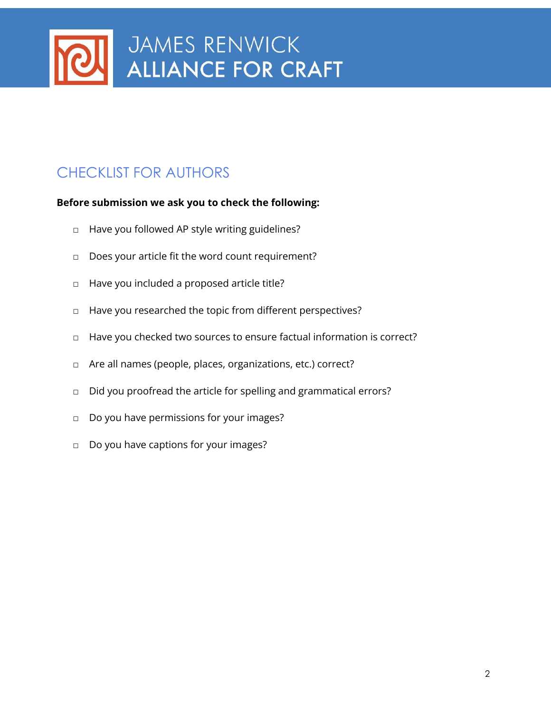

# CHECKLIST FOR AUTHORS

#### **Before submission we ask you to check the following:**

- □ Have you followed AP style writing guidelines?
- □ Does your article fit the word count requirement?
- □ Have you included a proposed article title?
- □ Have you researched the topic from different perspectives?
- □ Have you checked two sources to ensure factual information is correct?
- □ Are all names (people, places, organizations, etc.) correct?
- □ Did you proofread the article for spelling and grammatical errors?
- □ Do you have permissions for your images?
- □ Do you have captions for your images?